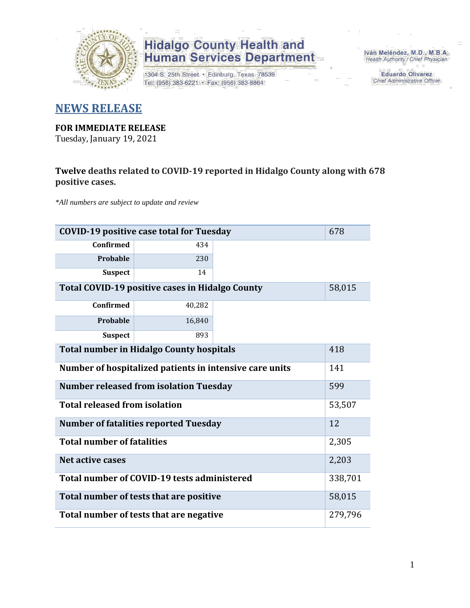

1304 S. 25th Street · Edinburg, Texas 78539 Tel: (956) 383-6221 · Fax: (956) 383-8864

Iván Meléndez, M.D., M.B.A. Health Authority / Chief Physician

> **Eduardo Olivarez** Chief Administrative Officer

#### **NEWS RELEASE**

#### **FOR IMMEDIATE RELEASE**

Tuesday, January 19, 2021

#### **Twelve deaths related to COVID-19 reported in Hidalgo County along with 678 positive cases.**

*\*All numbers are subject to update and review*

|                                                                | <b>COVID-19 positive case total for Tuesday</b><br>678 |  |         |  |  |  |  |  |  |  |  |  |
|----------------------------------------------------------------|--------------------------------------------------------|--|---------|--|--|--|--|--|--|--|--|--|
| <b>Confirmed</b>                                               | 434                                                    |  |         |  |  |  |  |  |  |  |  |  |
| Probable                                                       | 230                                                    |  |         |  |  |  |  |  |  |  |  |  |
| <b>Suspect</b>                                                 | 14                                                     |  |         |  |  |  |  |  |  |  |  |  |
| Total COVID-19 positive cases in Hidalgo County<br>58,015      |                                                        |  |         |  |  |  |  |  |  |  |  |  |
| <b>Confirmed</b>                                               | 40,282                                                 |  |         |  |  |  |  |  |  |  |  |  |
| Probable                                                       | 16,840                                                 |  |         |  |  |  |  |  |  |  |  |  |
| <b>Suspect</b><br>893                                          |                                                        |  |         |  |  |  |  |  |  |  |  |  |
| 418<br><b>Total number in Hidalgo County hospitals</b>         |                                                        |  |         |  |  |  |  |  |  |  |  |  |
| Number of hospitalized patients in intensive care units<br>141 |                                                        |  |         |  |  |  |  |  |  |  |  |  |
|                                                                | <b>Number released from isolation Tuesday</b>          |  | 599     |  |  |  |  |  |  |  |  |  |
| <b>Total released from isolation</b>                           |                                                        |  | 53,507  |  |  |  |  |  |  |  |  |  |
|                                                                | <b>Number of fatalities reported Tuesday</b>           |  | 12      |  |  |  |  |  |  |  |  |  |
| <b>Total number of fatalities</b>                              |                                                        |  | 2,305   |  |  |  |  |  |  |  |  |  |
| <b>Net active cases</b>                                        |                                                        |  | 2,203   |  |  |  |  |  |  |  |  |  |
|                                                                | Total number of COVID-19 tests administered            |  | 338,701 |  |  |  |  |  |  |  |  |  |
|                                                                | Total number of tests that are positive                |  | 58,015  |  |  |  |  |  |  |  |  |  |
| Total number of tests that are negative<br>279,796             |                                                        |  |         |  |  |  |  |  |  |  |  |  |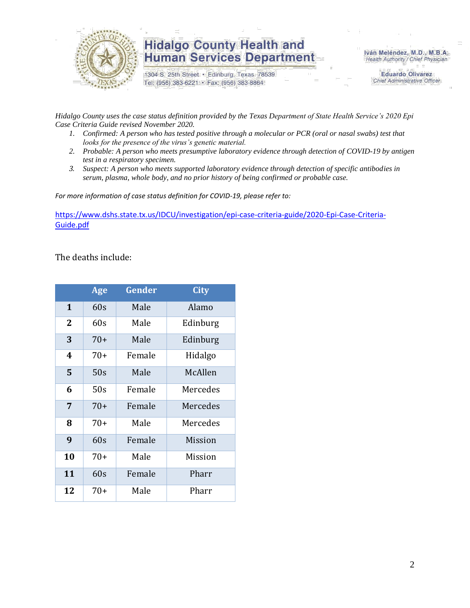

1304 S. 25th Street · Edinburg, Texas 78539 Tel: (956) 383-6221 · Fax: (956) 383-8864

Iván Meléndez, M.D., M.B.A. Health Authority / Chief Physician

> **Eduardo Olivarez** Chief Administrative Officer

*Hidalgo County uses the case status definition provided by the Texas Department of State Health Service's 2020 Epi Case Criteria Guide revised November 2020.*

- *1. Confirmed: A person who has tested positive through a molecular or PCR (oral or nasal swabs) test that looks for the presence of the virus's genetic material.*
- *2. Probable: A person who meets presumptive laboratory evidence through detection of COVID-19 by antigen test in a respiratory specimen.*
- *3. Suspect: A person who meets supported laboratory evidence through detection of specific antibodies in serum, plasma, whole body, and no prior history of being confirmed or probable case.*

*For more information of case status definition for COVID-19, please refer to:*

[https://www.dshs.state.tx.us/IDCU/investigation/epi-case-criteria-guide/2020-Epi-Case-Criteria-](https://www.dshs.state.tx.us/IDCU/investigation/epi-case-criteria-guide/2020-Epi-Case-Criteria-Guide.pdf)[Guide.pdf](https://www.dshs.state.tx.us/IDCU/investigation/epi-case-criteria-guide/2020-Epi-Case-Criteria-Guide.pdf)

The deaths include:

|                | Age   | Gender | <b>City</b> |
|----------------|-------|--------|-------------|
| 1              | 60s   | Male   | Alamo       |
| $\overline{2}$ | 60s   | Male   | Edinburg    |
| 3              | $70+$ | Male   | Edinburg    |
| 4              | $70+$ | Female | Hidalgo     |
| 5              | 50s   | Male   | McAllen     |
| 6              | 50s   | Female | Mercedes    |
| 7              | $70+$ | Female | Mercedes    |
| 8              | $70+$ | Male   | Mercedes    |
| 9              | 60s   | Female | Mission     |
| 10             | $70+$ | Male   | Mission     |
| 11             | 60s   | Female | Pharr       |
| 12             | $70+$ | Male   | Pharr       |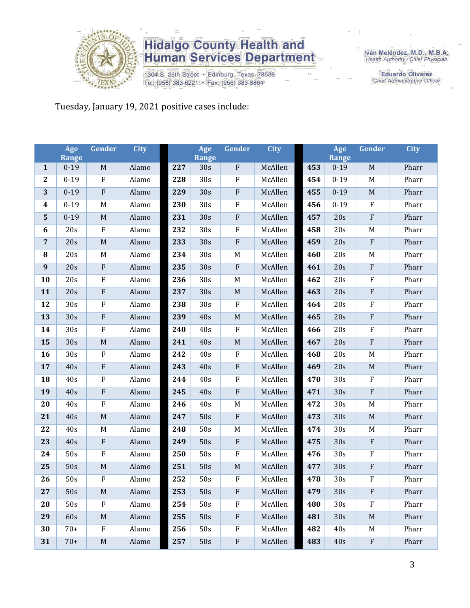

1304 S. 25th Street · Edinburg, Texas 78539 Tel: (956) 383-6221 · Fax: (956) 383-8864

Iván Meléndez, M.D., M.B.A.<br>Health Authority / Chief Physician

**Eduardo Olivarez** Chief Administrative Officer

Tuesday, January 19, 2021 positive cases include:

|                  | Age<br><b>Range</b> | Gender      | <b>City</b> |     | Age<br><b>Range</b> | Gender       | <b>City</b> |     | Age<br><b>Range</b> | Gender      | <b>City</b> |
|------------------|---------------------|-------------|-------------|-----|---------------------|--------------|-------------|-----|---------------------|-------------|-------------|
| $\mathbf{1}$     | $0-19$              | $\mathbf M$ | Alamo       | 227 | 30s                 | ${\bf F}$    | McAllen     | 453 | $0 - 19$            | $\mathbf M$ | Pharr       |
| $\boldsymbol{2}$ | $0 - 19$            | ${\bf F}$   | Alamo       | 228 | 30s                 | $\rm F$      | McAllen     | 454 | $0 - 19$            | M           | Pharr       |
| 3                | $0 - 19$            | ${\bf F}$   | Alamo       | 229 | 30s                 | $\rm F$      | McAllen     | 455 | $0 - 19$            | $\mathbf M$ | Pharr       |
| $\boldsymbol{4}$ | $0 - 19$            | $\mathbf M$ | Alamo       | 230 | 30s                 | $\rm F$      | McAllen     | 456 | $0 - 19$            | ${\bf F}$   | Pharr       |
| $\mathbf{5}$     | $0 - 19$            | $\mathbf M$ | Alamo       | 231 | 30s                 | $\rm F$      | McAllen     | 457 | 20s                 | $\rm F$     | Pharr       |
| 6                | 20s                 | $\rm F$     | Alamo       | 232 | 30s                 | $\rm F$      | McAllen     | 458 | 20s                 | M           | Pharr       |
| $\overline{7}$   | 20s                 | $\mathbf M$ | Alamo       | 233 | 30s                 | $\rm F$      | McAllen     | 459 | 20s                 | $\rm F$     | Pharr       |
| ${\bf 8}$        | 20s                 | M           | Alamo       | 234 | 30s                 | $M_{\odot}$  | McAllen     | 460 | 20s                 | M           | Pharr       |
| 9                | 20s                 | ${\bf F}$   | Alamo       | 235 | 30s                 | ${\bf F}$    | McAllen     | 461 | 20s                 | $\rm F$     | Pharr       |
| 10               | 20s                 | ${\bf F}$   | Alamo       | 236 | 30s                 | $\mathbf M$  | McAllen     | 462 | 20s                 | F           | Pharr       |
| 11               | 20s                 | ${\bf F}$   | Alamo       | 237 | 30s                 | $\mathbf M$  | McAllen     | 463 | 20s                 | ${\bf F}$   | Pharr       |
| 12               | 30 <sub>s</sub>     | ${\bf F}$   | Alamo       | 238 | 30s                 | ${\bf F}$    | McAllen     | 464 | 20s                 | F           | Pharr       |
| 13               | 30s                 | ${\bf F}$   | Alamo       | 239 | 40s                 | $\mathbf M$  | McAllen     | 465 | 20s                 | ${\bf F}$   | Pharr       |
| 14               | 30s                 | ${\bf F}$   | Alamo       | 240 | 40s                 | $\rm F$      | McAllen     | 466 | 20s                 | F           | Pharr       |
| 15               | 30s                 | $\mathbf M$ | Alamo       | 241 | 40s                 | $\mathbf M$  | McAllen     | 467 | 20s                 | $\rm F$     | Pharr       |
| 16               | 30s                 | ${\bf F}$   | Alamo       | 242 | 40s                 | $\rm F$      | McAllen     | 468 | 20s                 | $\mathbf M$ | Pharr       |
| 17               | 40s                 | ${\bf F}$   | Alamo       | 243 | 40s                 | $\rm F$      | McAllen     | 469 | 20s                 | $\mathbf M$ | Pharr       |
| 18               | 40s                 | ${\bf F}$   | Alamo       | 244 | 40s                 | $\rm F$      | McAllen     | 470 | 30s                 | $\rm F$     | Pharr       |
| 19               | 40s                 | ${\bf F}$   | Alamo       | 245 | 40s                 | $\rm F$      | McAllen     | 471 | 30s                 | $\rm F$     | Pharr       |
| 20               | 40s                 | ${\bf F}$   | Alamo       | 246 | 40s                 | $\mathbf M$  | McAllen     | 472 | 30s                 | M           | Pharr       |
| 21               | 40s                 | $\mathbf M$ | Alamo       | 247 | 50s                 | $\rm F$      | McAllen     | 473 | 30s                 | $\mathbf M$ | Pharr       |
| 22               | 40s                 | M           | Alamo       | 248 | 50s                 | $M_{\odot}$  | McAllen     | 474 | 30 <sub>s</sub>     | M           | Pharr       |
| 23               | 40s                 | ${\bf F}$   | Alamo       | 249 | 50s                 | $\rm F$      | McAllen     | 475 | 30s                 | $\rm F$     | Pharr       |
| 24               | 50s                 | ${\bf F}$   | Alamo       | 250 | 50s                 | $\rm F$      | McAllen     | 476 | 30s                 | F           | Pharr       |
| 25               | 50s                 | $\mathbf M$ | Alamo       | 251 | 50s                 | $\mathbf M$  | McAllen     | 477 | 30s                 | ${\bf F}$   | Pharr       |
| 26               | 50s                 | ${\bf F}$   | Alamo       | 252 | 50s                 | $\rm F$      | McAllen     | 478 | 30s                 | ${\bf F}$   | Pharr       |
| 27               | 50s                 | $M_{\odot}$ | Alamo       | 253 | 50s                 | ${\bf F}$    | McAllen     | 479 | 30s                 | ${\bf F}$   | Pharr       |
| 28               | 50s                 | ${\bf F}$   | Alamo       | 254 | 50s                 | ${\bf F}$    | McAllen     | 480 | 30s                 | F           | Pharr       |
| 29               | 60s                 | $\mathbf M$ | Alamo       | 255 | 50s                 | $\mathbf{F}$ | McAllen     | 481 | 30s                 | $M_{\rm}$   | Pharr       |
| 30               | $70+$               | ${\bf F}$   | Alamo       | 256 | 50s                 | $\rm F$      | McAllen     | 482 | 40s                 | M           | Pharr       |
| 31               | $70+$               | $\mathbf M$ | Alamo       | 257 | 50s                 | $\rm F$      | McAllen     | 483 | 40s                 | $\rm F$     | Pharr       |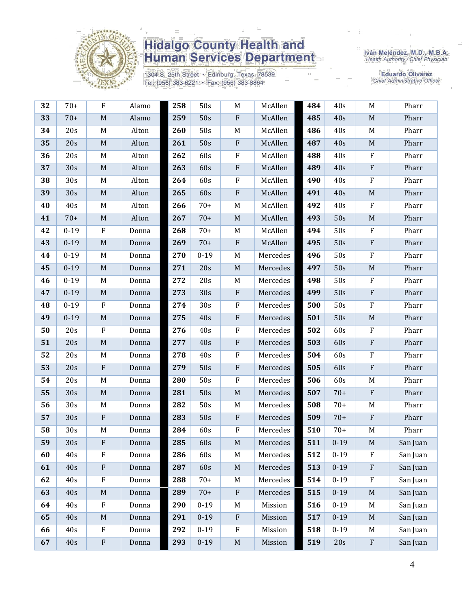

1304 S. 25th Street · Edinburg, Texas 78539 Tel: (956) 383-6221 · Fax: (956) 383-8864

Iván Meléndez, M.D., M.B.A.<br>Health Authority / Chief Physician

**Eduardo Olivarez** Chief Administrative Officer

| 32 | $70+$    | $\mathbf F$ | Alamo | 258 | 50s      | M                         | McAllen  | 484 | 40s      | $M_{\odot}$               | Pharr    |
|----|----------|-------------|-------|-----|----------|---------------------------|----------|-----|----------|---------------------------|----------|
| 33 | $70+$    | $\mathbf M$ | Alamo | 259 | 50s      | ${\bf F}$                 | McAllen  | 485 | 40s      | M                         | Pharr    |
| 34 | 20s      | M           | Alton | 260 | 50s      | M                         | McAllen  | 486 | 40s      | M                         | Pharr    |
| 35 | 20s      | $\mathbf M$ | Alton | 261 | 50s      | $\boldsymbol{\mathrm{F}}$ | McAllen  | 487 | 40s      | $\mathbf M$               | Pharr    |
| 36 | 20s      | M           | Alton | 262 | 60s      | ${\bf F}$                 | McAllen  | 488 | 40s      | $\mathbf{F}$              | Pharr    |
| 37 | 30s      | $\mathbf M$ | Alton | 263 | 60s      | $\rm F$                   | McAllen  | 489 | 40s      | $\rm F$                   | Pharr    |
| 38 | 30s      | M           | Alton | 264 | 60s      | ${\bf F}$                 | McAllen  | 490 | 40s      | $\rm F$                   | Pharr    |
| 39 | 30s      | $\mathbf M$ | Alton | 265 | 60s      | ${\bf F}$                 | McAllen  | 491 | 40s      | $\mathbf M$               | Pharr    |
| 40 | 40s      | M           | Alton | 266 | $70+$    | M                         | McAllen  | 492 | 40s      | $\rm F$                   | Pharr    |
| 41 | $70+$    | $\mathbf M$ | Alton | 267 | $70+$    | $\mathbf M$               | McAllen  | 493 | 50s      | $\mathbf M$               | Pharr    |
| 42 | $0 - 19$ | $\rm F$     | Donna | 268 | $70+$    | M                         | McAllen  | 494 | 50s      | $\mathbf F$               | Pharr    |
| 43 | $0 - 19$ | $\mathbf M$ | Donna | 269 | $70+$    | $\rm F$                   | McAllen  | 495 | 50s      | $\rm F$                   | Pharr    |
| 44 | $0 - 19$ | M           | Donna | 270 | $0 - 19$ | M                         | Mercedes | 496 | 50s      | $\rm F$                   | Pharr    |
| 45 | $0 - 19$ | M           | Donna | 271 | 20s      | $\mathbf M$               | Mercedes | 497 | 50s      | $\mathbf M$               | Pharr    |
| 46 | $0 - 19$ | M           | Donna | 272 | 20s      | $\mathbf M$               | Mercedes | 498 | 50s      | $\rm F$                   | Pharr    |
| 47 | $0 - 19$ | $\mathbf M$ | Donna | 273 | 30s      | ${\bf F}$                 | Mercedes | 499 | 50s      | $\mathbf{F}$              | Pharr    |
| 48 | $0 - 19$ | $\rm F$     | Donna | 274 | 30s      | F                         | Mercedes | 500 | 50s      | $\mathbf F$               | Pharr    |
| 49 | $0 - 19$ | $\mathbf M$ | Donna | 275 | 40s      | ${\bf F}$                 | Mercedes | 501 | 50s      | $\mathbf M$               | Pharr    |
| 50 | 20s      | $\rm F$     | Donna | 276 | 40s      | ${\bf F}$                 | Mercedes | 502 | 60s      | $\mathbf{F}$              | Pharr    |
| 51 | 20s      | $\mathbf M$ | Donna | 277 | 40s      | ${\bf F}$                 | Mercedes | 503 | 60s      | $\rm F$                   | Pharr    |
| 52 | 20s      | M           | Donna | 278 | 40s      | F                         | Mercedes | 504 | 60s      | $\mathbf F$               | Pharr    |
| 53 | 20s      | ${\bf F}$   | Donna | 279 | 50s      | $\rm F$                   | Mercedes | 505 | 60s      | $\rm F$                   | Pharr    |
| 54 | 20s      | M           | Donna | 280 | 50s      | ${\bf F}$                 | Mercedes | 506 | 60s      | M                         | Pharr    |
| 55 | 30s      | $M_{\odot}$ | Donna | 281 | 50s      | $\mathbf M$               | Mercedes | 507 | $70+$    | $\mathbf{F}$              | Pharr    |
| 56 | 30s      | M           | Donna | 282 | 50s      | M                         | Mercedes | 508 | $70+$    | M                         | Pharr    |
| 57 | 30s      | $\rm F$     | Donna | 283 | 50s      | ${\bf F}$                 | Mercedes | 509 | $70+$    | $\rm F$                   | Pharr    |
| 58 | 30s      | M           | Donna | 284 | 60s      | ${\bf F}$                 | Mercedes | 510 | $70+$    | M                         | Pharr    |
| 59 | 30s      | F           | Donna | 285 | 60s      | $\mathbf M$               | Mercedes | 511 | $0 - 19$ | $\mathbf M$               | San Juan |
| 60 | 40s      | $_{\rm F}$  | Donna | 286 | 60s      | M                         | Mercedes | 512 | $0 - 19$ | $_{\rm F}$                | San Juan |
| 61 | 40s      | ${\bf F}$   | Donna | 287 | 60s      | $\mathbf M$               | Mercedes | 513 | $0 - 19$ | $\boldsymbol{\mathrm{F}}$ | San Juan |
| 62 | 40s      | $\rm F$     | Donna | 288 | $70+$    | M                         | Mercedes | 514 | $0 - 19$ | $\mathbf{F}$              | San Juan |
| 63 | 40s      | $\mathbf M$ | Donna | 289 | $70+$    | ${\bf F}$                 | Mercedes | 515 | $0 - 19$ | M                         | San Juan |
| 64 | 40s      | $\rm F$     | Donna | 290 | $0 - 19$ | M                         | Mission  | 516 | $0 - 19$ | $M_{\odot}$               | San Juan |
| 65 | 40s      | $\mathbf M$ | Donna | 291 | $0 - 19$ | $\boldsymbol{\mathrm{F}}$ | Mission  | 517 | $0 - 19$ | $M_{\odot}$               | San Juan |
| 66 | 40s      | $\mathbf F$ | Donna | 292 | $0 - 19$ | ${\bf F}$                 | Mission  | 518 | $0 - 19$ | M                         | San Juan |
| 67 | 40s      | ${\bf F}$   | Donna | 293 | $0 - 19$ | $\mathbf M$               | Mission  | 519 | 20s      | $\rm F$                   | San Juan |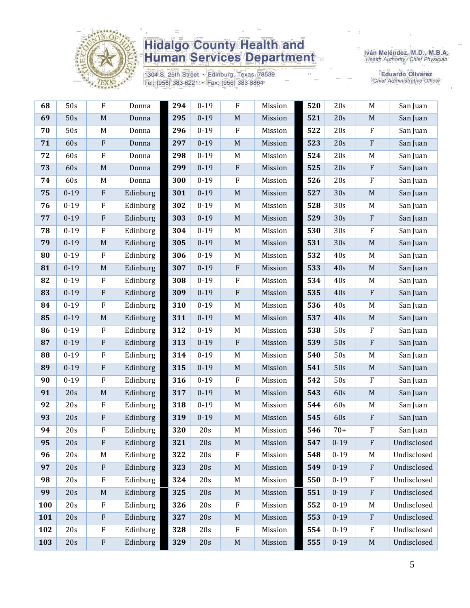

1304 S. 25th Street · Edinburg, Texas 78539 Tel: (956) 383-6221 · Fax: (956) 383-8864

Iván Meléndez, M.D., M.B.A.<br>Health Authority / Chief Physician

Eduardo Olivarez<br>Chief Administrative Officer

| 68  | 50s      | F                         | Donna    | 294 | $0 - 19$ | $\boldsymbol{F}$ | Mission | 520 | 20s      | M                         | San Juan    |
|-----|----------|---------------------------|----------|-----|----------|------------------|---------|-----|----------|---------------------------|-------------|
| 69  | 50s      | $\mathbf M$               | Donna    | 295 | $0 - 19$ | $\mathbf M$      | Mission | 521 | 20s      | $\mathbf M$               | San Juan    |
| 70  | 50s      | M                         | Donna    | 296 | $0 - 19$ | $\rm F$          | Mission | 522 | 20s      | ${\bf F}$                 | San Juan    |
| 71  | 60s      | ${\bf F}$                 | Donna    | 297 | $0 - 19$ | $\mathbf M$      | Mission | 523 | 20s      | ${\bf F}$                 | San Juan    |
| 72  | 60s      | ${\bf F}$                 | Donna    | 298 | $0 - 19$ | M                | Mission | 524 | 20s      | $\mathbf M$               | San Juan    |
| 73  | 60s      | $\mathbf M$               | Donna    | 299 | $0 - 19$ | $\rm F$          | Mission | 525 | 20s      | ${\bf F}$                 | San Juan    |
| 74  | 60s      | $\mathbf M$               | Donna    | 300 | $0 - 19$ | ${\bf F}$        | Mission | 526 | 20s      | ${\bf F}$                 | San Juan    |
| 75  | $0 - 19$ | $\rm F$                   | Edinburg | 301 | $0 - 19$ | $\mathbf M$      | Mission | 527 | 30s      | $\mathbf M$               | San Juan    |
| 76  | $0 - 19$ | $\rm F$                   | Edinburg | 302 | $0 - 19$ | M                | Mission | 528 | 30s      | M                         | San Juan    |
| 77  | $0 - 19$ | ${\bf F}$                 | Edinburg | 303 | $0 - 19$ | $\mathbf M$      | Mission | 529 | 30s      | ${\bf F}$                 | San Juan    |
| 78  | $0 - 19$ | $\rm F$                   | Edinburg | 304 | $0 - 19$ | M                | Mission | 530 | 30s      | ${\bf F}$                 | San Juan    |
| 79  | $0 - 19$ | $\mathbf M$               | Edinburg | 305 | $0 - 19$ | $\mathbf M$      | Mission | 531 | 30s      | $\mathbf M$               | San Juan    |
| 80  | $0 - 19$ | $\rm F$                   | Edinburg | 306 | $0 - 19$ | M                | Mission | 532 | 40s      | M                         | San Juan    |
| 81  | $0 - 19$ | $\mathbf M$               | Edinburg | 307 | $0 - 19$ | $\rm F$          | Mission | 533 | 40s      | $\mathbf M$               | San Juan    |
| 82  | $0 - 19$ | ${\bf F}$                 | Edinburg | 308 | $0 - 19$ | $\rm F$          | Mission | 534 | 40s      | M                         | San Juan    |
| 83  | $0 - 19$ | ${\bf F}$                 | Edinburg | 309 | $0 - 19$ | $\rm F$          | Mission | 535 | 40s      | $\rm F$                   | San Juan    |
| 84  | $0 - 19$ | $\rm F$                   | Edinburg | 310 | $0 - 19$ | $\mathbf M$      | Mission | 536 | 40s      | $\mathbf M$               | San Juan    |
| 85  | $0 - 19$ | $\mathbf M$               | Edinburg | 311 | $0 - 19$ | $\mathbf M$      | Mission | 537 | 40s      | $\mathbf M$               | San Juan    |
| 86  | $0 - 19$ | $\rm F$                   | Edinburg | 312 | $0 - 19$ | M                | Mission | 538 | 50s      | ${\bf F}$                 | San Juan    |
| 87  | $0 - 19$ | ${\bf F}$                 | Edinburg | 313 | $0 - 19$ | $\rm F$          | Mission | 539 | 50s      | ${\bf F}$                 | San Juan    |
| 88  | $0 - 19$ | $\rm F$                   | Edinburg | 314 | $0 - 19$ | M                | Mission | 540 | 50s      | $\mathbf M$               | San Juan    |
| 89  | $0 - 19$ | ${\bf F}$                 | Edinburg | 315 | $0 - 19$ | $\mathbf M$      | Mission | 541 | 50s      | $\mathbf M$               | San Juan    |
| 90  | $0 - 19$ | $\rm F$                   | Edinburg | 316 | $0 - 19$ | $\rm F$          | Mission | 542 | 50s      | ${\bf F}$                 | San Juan    |
| 91  | 20s      | $\mathbf M$               | Edinburg | 317 | $0 - 19$ | $\mathbf M$      | Mission | 543 | 60s      | $\mathbf M$               | San Juan    |
| 92  | 20s      | $\rm F$                   | Edinburg | 318 | $0 - 19$ | $\mathbf M$      | Mission | 544 | 60s      | $\mathbf M$               | San Juan    |
| 93  | 20s      | ${\bf F}$                 | Edinburg | 319 | $0 - 19$ | $\mathbf M$      | Mission | 545 | 60s      | ${\bf F}$                 | San Juan    |
| 94  | 20s      | ${\bf F}$                 | Edinburg | 320 | 20s      | M                | Mission | 546 | $70+$    | $\boldsymbol{\mathrm{F}}$ | San Juan    |
| 95  | 20s      | ${\bf F}$                 | Edinburg | 321 | 20s      | $\mathbf M$      | Mission | 547 | $0 - 19$ | ${\bf F}$                 | Undisclosed |
| 96  | 20s      | M                         | Edinburg | 322 | 20s      | F                | Mission | 548 | $0 - 19$ | M                         | Undisclosed |
| 97  | 20s      | $\rm F$                   | Edinburg | 323 | 20s      | $\mathbf M$      | Mission | 549 | $0 - 19$ | $\boldsymbol{\mathrm{F}}$ | Undisclosed |
| 98  | 20s      | $\rm F$                   | Edinburg | 324 | 20s      | $\mathbf M$      | Mission | 550 | $0 - 19$ | $\rm F$                   | Undisclosed |
| 99  | 20s      | $\mathbf M$               | Edinburg | 325 | 20s      | $\mathbf M$      | Mission | 551 | $0 - 19$ | ${\bf F}$                 | Undisclosed |
| 100 | 20s      | ${\bf F}$                 | Edinburg | 326 | 20s      | $\rm F$          | Mission | 552 | $0 - 19$ | M                         | Undisclosed |
| 101 | 20s      | ${\bf F}$                 | Edinburg | 327 | 20s      | $\mathbf M$      | Mission | 553 | $0 - 19$ | $\boldsymbol{\mathrm{F}}$ | Undisclosed |
| 102 | 20s      | $\boldsymbol{\mathrm{F}}$ | Edinburg | 328 | 20s      | $\rm F$          | Mission | 554 | $0 - 19$ | $\boldsymbol{\mathrm{F}}$ | Undisclosed |
| 103 | 20s      | $\rm F$                   | Edinburg | 329 | 20s      | $\mathbf M$      | Mission | 555 | $0 - 19$ | $\mathbf M$               | Undisclosed |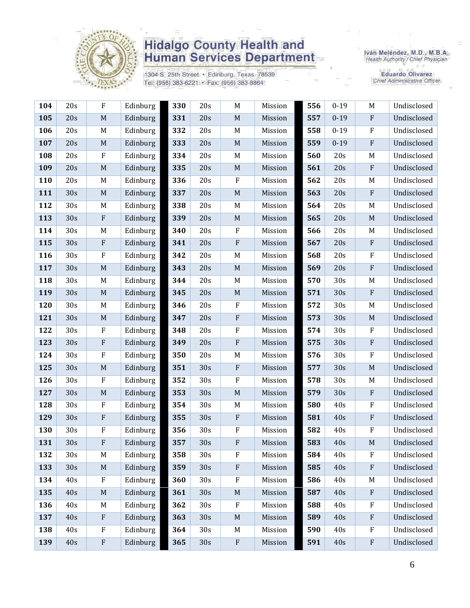

1304 S. 25th Street · Edinburg, Texas 78539 Tel: (956) 383-6221 · Fax: (956) 383-8864

Iván Meléndez, M.D., M.B.A.<br>Health Authority / Chief Physician

**Eduardo Olivarez** Chief Administrative Officer

| 104 | 20s | $\rm F$                   | Edinburg | 330 | 20s | M                         | Mission | 556 | $0 - 19$ | M            | Undisclosed |
|-----|-----|---------------------------|----------|-----|-----|---------------------------|---------|-----|----------|--------------|-------------|
| 105 | 20s | $\mathbf M$               | Edinburg | 331 | 20s | $\mathbf M$               | Mission | 557 | $0 - 19$ | $\, {\bf F}$ | Undisclosed |
| 106 | 20s | M                         | Edinburg | 332 | 20s | M                         | Mission | 558 | $0 - 19$ | $\mathbf{F}$ | Undisclosed |
| 107 | 20s | M                         | Edinburg | 333 | 20s | $\mathbf M$               | Mission | 559 | $0 - 19$ | $\mathbf{F}$ | Undisclosed |
| 108 | 20s | $\rm F$                   | Edinburg | 334 | 20s | $M_{\rm}$                 | Mission | 560 | 20s      | M            | Undisclosed |
| 109 | 20s | M                         | Edinburg | 335 | 20s | $\mathbf M$               | Mission | 561 | 20s      | $\rm F$      | Undisclosed |
| 110 | 20s | M                         | Edinburg | 336 | 20s | $\mathbf{F}$              | Mission | 562 | 20s      | M            | Undisclosed |
| 111 | 30s | $\mathbf M$               | Edinburg | 337 | 20s | $\mathbf M$               | Mission | 563 | 20s      | $\rm F$      | Undisclosed |
| 112 | 30s | M                         | Edinburg | 338 | 20s | M                         | Mission | 564 | 20s      | M            | Undisclosed |
| 113 | 30s | $\rm F$                   | Edinburg | 339 | 20s | $\mathbf M$               | Mission | 565 | 20s      | M            | Undisclosed |
| 114 | 30s | M                         | Edinburg | 340 | 20s | ${\bf F}$                 | Mission | 566 | 20s      | M            | Undisclosed |
| 115 | 30s | $\rm F$                   | Edinburg | 341 | 20s | ${\bf F}$                 | Mission | 567 | 20s      | $\rm F$      | Undisclosed |
| 116 | 30s | $\rm F$                   | Edinburg | 342 | 20s | M                         | Mission | 568 | 20s      | $\rm F$      | Undisclosed |
| 117 | 30s | $\mathbf M$               | Edinburg | 343 | 20s | $\mathbf M$               | Mission | 569 | 20s      | $\rm F$      | Undisclosed |
| 118 | 30s | M                         | Edinburg | 344 | 20s | M                         | Mission | 570 | 30s      | M            | Undisclosed |
| 119 | 30s | M                         | Edinburg | 345 | 20s | $\mathbf M$               | Mission | 571 | 30s      | $\, {\bf F}$ | Undisclosed |
| 120 | 30s | M                         | Edinburg | 346 | 20s | $\mathbf{F}$              | Mission | 572 | 30s      | M            | Undisclosed |
| 121 | 30s | $\mathbf M$               | Edinburg | 347 | 20s | $\boldsymbol{\mathrm{F}}$ | Mission | 573 | 30s      | M            | Undisclosed |
| 122 | 30s | ${\bf F}$                 | Edinburg | 348 | 20s | $\rm F$                   | Mission | 574 | 30s      | $\rm F$      | Undisclosed |
| 123 | 30s | $\rm F$                   | Edinburg | 349 | 20s | ${\bf F}$                 | Mission | 575 | 30s      | $\rm F$      | Undisclosed |
| 124 | 30s | $\rm F$                   | Edinburg | 350 | 20s | M                         | Mission | 576 | 30s      | $\rm F$      | Undisclosed |
| 125 | 30s | $\mathbf M$               | Edinburg | 351 | 30s | $\rm F$                   | Mission | 577 | 30s      | $\mathbf M$  | Undisclosed |
| 126 | 30s | $\rm F$                   | Edinburg | 352 | 30s | ${\bf F}$                 | Mission | 578 | 30s      | M            | Undisclosed |
| 127 | 30s | $\mathbf M$               | Edinburg | 353 | 30s | $\mathbf M$               | Mission | 579 | 30s      | $\rm F$      | Undisclosed |
| 128 | 30s | $\rm F$                   | Edinburg | 354 | 30s | M                         | Mission | 580 | 40s      | $\mathbf{F}$ | Undisclosed |
| 129 | 30s | ${\bf F}$                 | Edinburg | 355 | 30s | $\rm F$                   | Mission | 581 | 40s      | $\rm F$      | Undisclosed |
| 130 | 30s | $\rm F$                   | Edinburg | 356 | 30s | F                         | Mission | 582 | 40s      | $\mathbf{F}$ | Undisclosed |
| 131 | 30s | ${\bf F}$                 | Edinburg | 357 | 30s | F                         | Mission | 583 | 40s      | M            | Undisclosed |
| 132 | 30s | M                         | Edinburg | 358 | 30s | $\rm F$                   | Mission | 584 | 40s      | $\mathbf{F}$ | Undisclosed |
| 133 | 30s | M                         | Edinburg | 359 | 30s | ${\bf F}$                 | Mission | 585 | 40s      | ${\bf F}$    | Undisclosed |
| 134 | 40s | $\rm F$                   | Edinburg | 360 | 30s | ${\bf F}$                 | Mission | 586 | 40s      | M            | Undisclosed |
| 135 | 40s | $\mathbf M$               | Edinburg | 361 | 30s | $\mathbf M$               | Mission | 587 | 40s      | $\mathbf{F}$ | Undisclosed |
| 136 | 40s | M                         | Edinburg | 362 | 30s | ${\bf F}$                 | Mission | 588 | 40s      | $\rm F$      | Undisclosed |
| 137 | 40s | $\rm F$                   | Edinburg | 363 | 30s | $\mathbf M$               | Mission | 589 | 40s      | $\rm F$      | Undisclosed |
| 138 | 40s | $\mathbf{F}$              | Edinburg | 364 | 30s | M                         | Mission | 590 | 40s      | $\mathbf{F}$ | Undisclosed |
| 139 | 40s | $\boldsymbol{\mathrm{F}}$ | Edinburg | 365 | 30s | ${\bf F}$                 | Mission | 591 | 40s      | $\rm F$      | Undisclosed |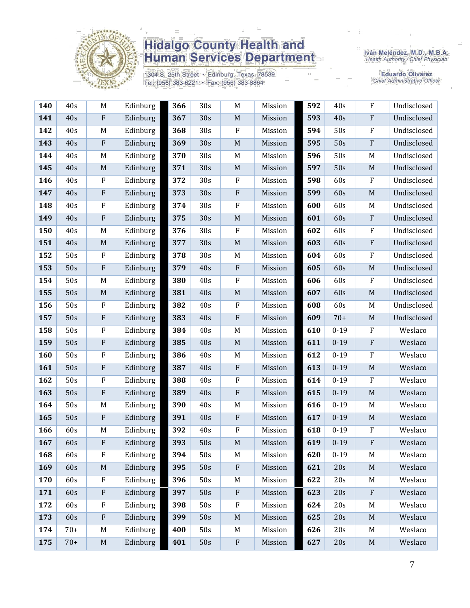

1304 S. 25th Street · Edinburg, Texas 78539 Tel: (956) 383-6221 · Fax: (956) 383-8864

Iván Meléndez, M.D., M.B.A.<br>Health Authority / Chief Physician

Eduardo Olivarez<br>Chief Administrative Officer

| 140 | 40s   | M           | Edinburg | 366 | 30s | $\mathbf M$               | Mission | 592 | 40s      | ${\bf F}$                 | Undisclosed |
|-----|-------|-------------|----------|-----|-----|---------------------------|---------|-----|----------|---------------------------|-------------|
| 141 | 40s   | $\rm F$     | Edinburg | 367 | 30s | $\mathbf M$               | Mission | 593 | 40s      | ${\bf F}$                 | Undisclosed |
| 142 | 40s   | M           | Edinburg | 368 | 30s | $\mathbf{F}$              | Mission | 594 | 50s      | ${\bf F}$                 | Undisclosed |
| 143 | 40s   | ${\bf F}$   | Edinburg | 369 | 30s | $\mathbf M$               | Mission | 595 | 50s      | ${\bf F}$                 | Undisclosed |
| 144 | 40s   | M           | Edinburg | 370 | 30s | $\mathbf M$               | Mission | 596 | 50s      | M                         | Undisclosed |
| 145 | 40s   | M           | Edinburg | 371 | 30s | $\mathbf M$               | Mission | 597 | 50s      | $\mathbf M$               | Undisclosed |
| 146 | 40s   | $\rm F$     | Edinburg | 372 | 30s | $\boldsymbol{F}$          | Mission | 598 | 60s      | $\boldsymbol{\mathrm{F}}$ | Undisclosed |
| 147 | 40s   | ${\bf F}$   | Edinburg | 373 | 30s | ${\bf F}$                 | Mission | 599 | 60s      | $\mathbf M$               | Undisclosed |
| 148 | 40s   | $\rm F$     | Edinburg | 374 | 30s | $\rm F$                   | Mission | 600 | 60s      | M                         | Undisclosed |
| 149 | 40s   | $\rm F$     | Edinburg | 375 | 30s | $\mathbf M$               | Mission | 601 | 60s      | ${\bf F}$                 | Undisclosed |
| 150 | 40s   | M           | Edinburg | 376 | 30s | $\rm F$                   | Mission | 602 | 60s      | ${\bf F}$                 | Undisclosed |
| 151 | 40s   | $\mathbf M$ | Edinburg | 377 | 30s | $\mathbf M$               | Mission | 603 | 60s      | ${\bf F}$                 | Undisclosed |
| 152 | 50s   | $\rm F$     | Edinburg | 378 | 30s | M                         | Mission | 604 | 60s      | ${\bf F}$                 | Undisclosed |
| 153 | 50s   | $\rm F$     | Edinburg | 379 | 40s | $\rm F$                   | Mission | 605 | 60s      | $\mathbf M$               | Undisclosed |
| 154 | 50s   | M           | Edinburg | 380 | 40s | $\rm F$                   | Mission | 606 | 60s      | $\rm F$                   | Undisclosed |
| 155 | 50s   | M           | Edinburg | 381 | 40s | $\mathbf M$               | Mission | 607 | 60s      | $\mathbf M$               | Undisclosed |
| 156 | 50s   | $\rm F$     | Edinburg | 382 | 40s | $\mathbf F$               | Mission | 608 | 60s      | M                         | Undisclosed |
| 157 | 50s   | ${\bf F}$   | Edinburg | 383 | 40s | $\rm F$                   | Mission | 609 | $70+$    | $\mathbf M$               | Undisclosed |
| 158 | 50s   | $\rm F$     | Edinburg | 384 | 40s | M                         | Mission | 610 | $0 - 19$ | $\boldsymbol{\mathrm{F}}$ | Weslaco     |
| 159 | 50s   | ${\bf F}$   | Edinburg | 385 | 40s | $\mathbf M$               | Mission | 611 | $0 - 19$ | ${\bf F}$                 | Weslaco     |
| 160 | 50s   | $\rm F$     | Edinburg | 386 | 40s | M                         | Mission | 612 | $0 - 19$ | $\rm F$                   | Weslaco     |
| 161 | 50s   | $\rm F$     | Edinburg | 387 | 40s | $\rm F$                   | Mission | 613 | $0 - 19$ | $\mathbf M$               | Weslaco     |
| 162 | 50s   | $\rm F$     | Edinburg | 388 | 40s | $\rm F$                   | Mission | 614 | $0 - 19$ | ${\bf F}$                 | Weslaco     |
| 163 | 50s   | $\rm F$     | Edinburg | 389 | 40s | $\boldsymbol{\mathrm{F}}$ | Mission | 615 | $0 - 19$ | $\mathbf M$               | Weslaco     |
| 164 | 50s   | M           | Edinburg | 390 | 40s | $\mathbf M$               | Mission | 616 | $0 - 19$ | M                         | Weslaco     |
| 165 | 50s   | $\rm F$     | Edinburg | 391 | 40s | $\rm F$                   | Mission | 617 | $0 - 19$ | M                         | Weslaco     |
| 166 | 60s   | M           | Edinburg | 392 | 40s | $\rm F$                   | Mission | 618 | $0 - 19$ | $\boldsymbol{\mathrm{F}}$ | Weslaco     |
| 167 | 60s   | $\rm F$     | Edinburg | 393 | 50s | $\mathbf M$               | Mission | 619 | $0 - 19$ | ${\bf F}$                 | Weslaco     |
| 168 | 60s   | $\rm F$     | Edinburg | 394 | 50s | M                         | Mission | 620 | $0 - 19$ | M                         | Weslaco     |
| 169 | 60s   | M           | Edinburg | 395 | 50s | $\rm F$                   | Mission | 621 | 20s      | $\mathbf M$               | Weslaco     |
| 170 | 60s   | $\rm F$     | Edinburg | 396 | 50s | M                         | Mission | 622 | 20s      | M                         | Weslaco     |
| 171 | 60s   | ${\bf F}$   | Edinburg | 397 | 50s | ${\bf F}$                 | Mission | 623 | 20s      | ${\bf F}$                 | Weslaco     |
| 172 | 60s   | $\rm F$     | Edinburg | 398 | 50s | $\rm F$                   | Mission | 624 | 20s      | M                         | Weslaco     |
| 173 | 60s   | ${\bf F}$   | Edinburg | 399 | 50s | $\mathbf M$               | Mission | 625 | 20s      | $\mathbf M$               | Weslaco     |
| 174 | $70+$ | M           | Edinburg | 400 | 50s | $\mathbf M$               | Mission | 626 | 20s      | M                         | Weslaco     |
| 175 | $70+$ | $\mathbf M$ | Edinburg | 401 | 50s | $\rm F$                   | Mission | 627 | 20s      | $\mathbf M$               | Weslaco     |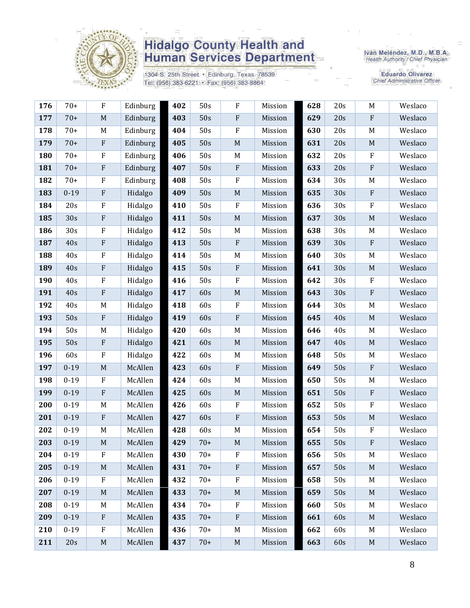

1304 S. 25th Street · Edinburg, Texas 78539 Tel: (956) 383-6221 · Fax: (956) 383-8864

Iván Meléndez, M.D., M.B.A.<br>Health Authority / Chief Physician

Eduardo Olivarez<br>Chief Administrative Officer

| 176 | $70+$    | F                         | Edinburg | 402 | 50s   | F           | Mission | 628 | 20s             | M                         | Weslaco |
|-----|----------|---------------------------|----------|-----|-------|-------------|---------|-----|-----------------|---------------------------|---------|
| 177 | $70+$    | $\mathbf M$               | Edinburg | 403 | 50s   | ${\bf F}$   | Mission | 629 | 20s             | ${\bf F}$                 | Weslaco |
| 178 | $70+$    | M                         | Edinburg | 404 | 50s   | ${\bf F}$   | Mission | 630 | 20s             | $\mathbf M$               | Weslaco |
| 179 | $70+$    | $\rm F$                   | Edinburg | 405 | 50s   | $\mathbf M$ | Mission | 631 | 20s             | $\mathbf M$               | Weslaco |
| 180 | $70+$    | ${\bf F}$                 | Edinburg | 406 | 50s   | M           | Mission | 632 | 20s             | $\boldsymbol{\mathrm{F}}$ | Weslaco |
| 181 | $70+$    | ${\bf F}$                 | Edinburg | 407 | 50s   | ${\bf F}$   | Mission | 633 | 20s             | ${\bf F}$                 | Weslaco |
| 182 | $70+$    | $\rm F$                   | Edinburg | 408 | 50s   | ${\bf F}$   | Mission | 634 | 30s             | M                         | Weslaco |
| 183 | $0 - 19$ | ${\bf F}$                 | Hidalgo  | 409 | 50s   | $\mathbf M$ | Mission | 635 | 30s             | $\boldsymbol{\mathrm{F}}$ | Weslaco |
| 184 | 20s      | ${\bf F}$                 | Hidalgo  | 410 | 50s   | ${\bf F}$   | Mission | 636 | 30s             | ${\bf F}$                 | Weslaco |
| 185 | 30s      | ${\bf F}$                 | Hidalgo  | 411 | 50s   | $\mathbf M$ | Mission | 637 | 30s             | $\mathbf M$               | Weslaco |
| 186 | 30s      | $\rm F$                   | Hidalgo  | 412 | 50s   | $\mathbf M$ | Mission | 638 | 30s             | M                         | Weslaco |
| 187 | 40s      | ${\bf F}$                 | Hidalgo  | 413 | 50s   | ${\bf F}$   | Mission | 639 | 30s             | ${\bf F}$                 | Weslaco |
| 188 | 40s      | ${\bf F}$                 | Hidalgo  | 414 | 50s   | M           | Mission | 640 | 30s             | M                         | Weslaco |
| 189 | 40s      | ${\bf F}$                 | Hidalgo  | 415 | 50s   | ${\bf F}$   | Mission | 641 | 30s             | $\mathbf M$               | Weslaco |
| 190 | 40s      | $\rm F$                   | Hidalgo  | 416 | 50s   | $\rm F$     | Mission | 642 | 30s             | ${\bf F}$                 | Weslaco |
| 191 | 40s      | ${\bf F}$                 | Hidalgo  | 417 | 60s   | $\mathbf M$ | Mission | 643 | 30s             | ${\bf F}$                 | Weslaco |
| 192 | 40s      | $\mathbf M$               | Hidalgo  | 418 | 60s   | ${\bf F}$   | Mission | 644 | 30 <sub>s</sub> | M                         | Weslaco |
| 193 | 50s      | $\rm F$                   | Hidalgo  | 419 | 60s   | $\rm F$     | Mission | 645 | 40s             | $\mathbf M$               | Weslaco |
| 194 | 50s      | M                         | Hidalgo  | 420 | 60s   | M           | Mission | 646 | 40s             | M                         | Weslaco |
| 195 | 50s      | ${\bf F}$                 | Hidalgo  | 421 | 60s   | $\mathbf M$ | Mission | 647 | 40s             | $\mathbf M$               | Weslaco |
| 196 | 60s      | $\rm F$                   | Hidalgo  | 422 | 60s   | $\mathbf M$ | Mission | 648 | 50s             | M                         | Weslaco |
| 197 | $0 - 19$ | $\mathbf M$               | McAllen  | 423 | 60s   | ${\bf F}$   | Mission | 649 | 50s             | $\boldsymbol{\mathrm{F}}$ | Weslaco |
| 198 | $0 - 19$ | $\boldsymbol{\mathrm{F}}$ | McAllen  | 424 | 60s   | M           | Mission | 650 | 50s             | M                         | Weslaco |
| 199 | $0 - 19$ | $\rm F$                   | McAllen  | 425 | 60s   | $\mathbf M$ | Mission | 651 | 50s             | ${\bf F}$                 | Weslaco |
| 200 | $0 - 19$ | M                         | McAllen  | 426 | 60s   | ${\bf F}$   | Mission | 652 | 50s             | ${\bf F}$                 | Weslaco |
| 201 | $0 - 19$ | ${\bf F}$                 | McAllen  | 427 | 60s   | ${\bf F}$   | Mission | 653 | 50s             | $\mathbf M$               | Weslaco |
| 202 | $0 - 19$ | M                         | McAllen  | 428 | 60s   | $\mathbf M$ | Mission | 654 | 50s             | ${\bf F}$                 | Weslaco |
| 203 | $0 - 19$ | $\mathbf M$               | McAllen  | 429 | $70+$ | $\mathbf M$ | Mission | 655 | 50s             | $\rm F$                   | Weslaco |
| 204 | $0 - 19$ | ${\bf F}$                 | McAllen  | 430 | $70+$ | $\rm F$     | Mission | 656 | 50s             | M                         | Weslaco |
| 205 | $0 - 19$ | M                         | McAllen  | 431 | $70+$ | $\rm F$     | Mission | 657 | 50s             | M                         | Weslaco |
| 206 | $0 - 19$ | $\rm F$                   | McAllen  | 432 | $70+$ | ${\bf F}$   | Mission | 658 | 50s             | M                         | Weslaco |
| 207 | $0 - 19$ | M                         | McAllen  | 433 | $70+$ | $\mathbf M$ | Mission | 659 | 50s             | $\mathbf M$               | Weslaco |
| 208 | $0 - 19$ | M                         | McAllen  | 434 | $70+$ | F           | Mission | 660 | 50s             | M                         | Weslaco |
| 209 | $0 - 19$ | ${\bf F}$                 | McAllen  | 435 | $70+$ | ${\bf F}$   | Mission | 661 | 60s             | M                         | Weslaco |
| 210 | $0-19$   | ${\bf F}$                 | McAllen  | 436 | $70+$ | M           | Mission | 662 | 60s             | M                         | Weslaco |
| 211 | 20s      | M                         | McAllen  | 437 | $70+$ | $\mathbf M$ | Mission | 663 | 60s             | M                         | Weslaco |